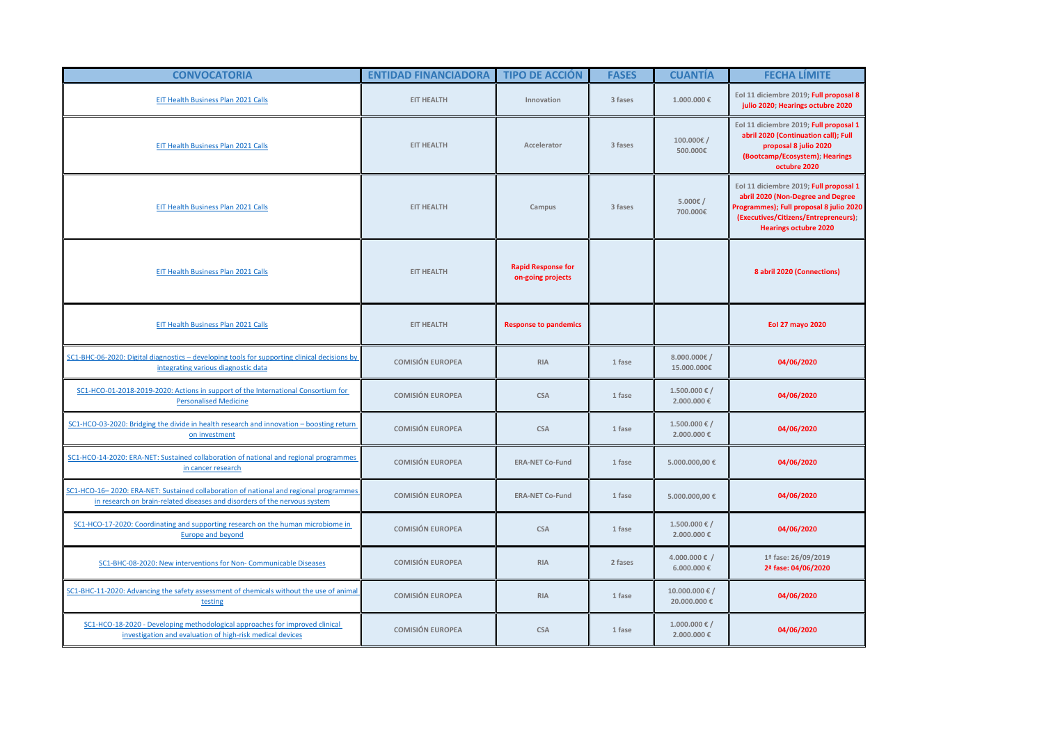| <b>CONVOCATORIA</b>                                                                                                                                                | <b>ENTIDAD FINANCIADORA</b> | <b>TIPO DE ACCIÓN</b>                          | <b>FASES</b> | <b>CUANTIA</b>                        | <b>FECHA LÍMITE</b>                                                                                                                                                                            |
|--------------------------------------------------------------------------------------------------------------------------------------------------------------------|-----------------------------|------------------------------------------------|--------------|---------------------------------------|------------------------------------------------------------------------------------------------------------------------------------------------------------------------------------------------|
| EIT Health Business Plan 2021 Calls                                                                                                                                | <b>EIT HEALTH</b>           | Innovation                                     | 3 fases      | 1.000.000€                            | Eol 11 diciembre 2019; Full proposal 8<br>julio 2020; Hearings octubre 2020                                                                                                                    |
| EIT Health Business Plan 2021 Calls                                                                                                                                | <b>EIT HEALTH</b>           | Accelerator                                    | 3 fases      | 100.000€/<br>500.000€                 | Eol 11 diciembre 2019; Full proposal 1<br>abril 2020 (Continuation call); Full<br>proposal 8 julio 2020<br>(Bootcamp/Ecosystem); Hearings<br>octubre 2020                                      |
| EIT Health Business Plan 2021 Calls                                                                                                                                | <b>EIT HEALTH</b>           | Campus                                         | 3 fases      | 5.000€/<br>700,000€                   | Eol 11 diciembre 2019; Full proposal 1<br>abril 2020 (Non-Degree and Degree<br>Programmes); Full proposal 8 julio 2020<br>(Executives/Citizens/Entrepreneurs);<br><b>Hearings octubre 2020</b> |
| EIT Health Business Plan 2021 Calls                                                                                                                                | <b>EIT HEALTH</b>           | <b>Rapid Response for</b><br>on-going projects |              |                                       | 8 abril 2020 (Connections)                                                                                                                                                                     |
| EIT Health Business Plan 2021 Calls                                                                                                                                | <b>EIT HEALTH</b>           | <b>Response to pandemics</b>                   |              |                                       | Eol 27 mayo 2020                                                                                                                                                                               |
| SC1-BHC-06-2020: Digital diagnostics - developing tools for supporting clinical decisions by<br>integrating various diagnostic data                                | <b>COMISIÓN EUROPEA</b>     | <b>RIA</b>                                     | 1 fase       | 8.000.000 $\epsilon$ /<br>15.000.000€ | 04/06/2020                                                                                                                                                                                     |
| SC1-HCO-01-2018-2019-2020: Actions in support of the International Consortium for<br><b>Personalised Medicine</b>                                                  | <b>COMISIÓN EUROPEA</b>     | <b>CSA</b>                                     | 1 fase       | $1.500.000 \in /$<br>2.000.000€       | 04/06/2020                                                                                                                                                                                     |
| SC1-HCO-03-2020: Bridging the divide in health research and innovation - boosting return<br>on investment                                                          | <b>COMISIÓN EUROPEA</b>     | <b>CSA</b>                                     | 1 fase       | $1.500.000 \in /$<br>2.000.000€       | 04/06/2020                                                                                                                                                                                     |
| SC1-HCO-14-2020: ERA-NET: Sustained collaboration of national and regional programmes<br>in cancer research                                                        | <b>COMISIÓN EUROPEA</b>     | <b>ERA-NET Co-Fund</b>                         | 1 fase       | 5.000.000,00 €                        | 04/06/2020                                                                                                                                                                                     |
| SC1-HCO-16-2020: ERA-NET: Sustained collaboration of national and regional programmes<br>in research on brain-related diseases and disorders of the nervous system | <b>COMISIÓN EUROPEA</b>     | <b>ERA-NET Co-Fund</b>                         | 1 fase       | 5.000.000,00 €                        | 04/06/2020                                                                                                                                                                                     |
| SC1-HCO-17-2020: Coordinating and supporting research on the human microbiome in<br><b>Europe and beyond</b>                                                       | <b>COMISIÓN EUROPEA</b>     | <b>CSA</b>                                     | 1 fase       | $1.500.000 \in /$<br>2.000.000 €      | 04/06/2020                                                                                                                                                                                     |
| SC1-BHC-08-2020: New interventions for Non- Communicable Diseases                                                                                                  | <b>COMISIÓN EUROPEA</b>     | <b>RIA</b>                                     | 2 fases      | 4.000.000 € /<br>$6.000.000 \in$      | 1ª fase: 26/09/2019<br>2ª fase: 04/06/2020                                                                                                                                                     |
| SC1-BHC-11-2020: Advancing the safety assessment of chemicals without the use of animal<br>testing                                                                 | <b>COMISIÓN EUROPEA</b>     | <b>RIA</b>                                     | 1 fase       | 10.000.000 € /<br>20.000.000 €        | 04/06/2020                                                                                                                                                                                     |
| SC1-HCO-18-2020 - Developing methodological approaches for improved clinical<br>investigation and evaluation of high-risk medical devices                          | <b>COMISIÓN EUROPEA</b>     | <b>CSA</b>                                     | 1 fase       | $1.000.000 \in /$<br>2.000.000 €      | 04/06/2020                                                                                                                                                                                     |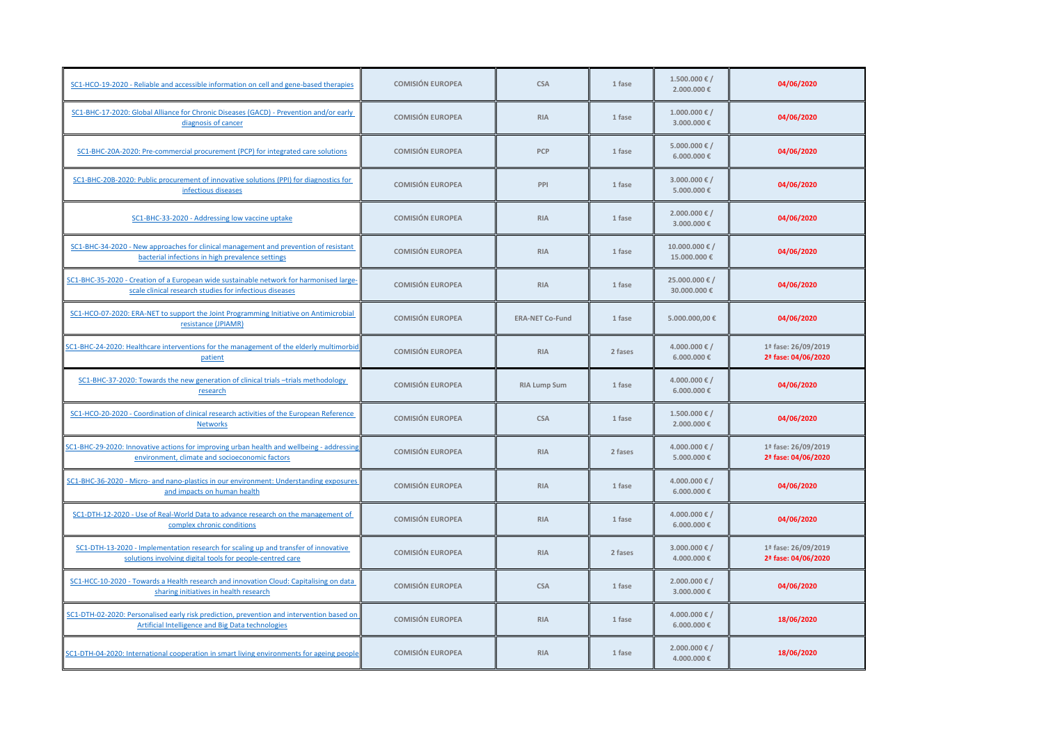| SC1-HCO-19-2020 - Reliable and accessible information on cell and gene-based therapies                                                             | <b>COMISIÓN EUROPEA</b> | <b>CSA</b>             | 1 fase  | $1.500.000 \in /$<br>2.000.000 €   | 04/06/2020                                 |
|----------------------------------------------------------------------------------------------------------------------------------------------------|-------------------------|------------------------|---------|------------------------------------|--------------------------------------------|
| SC1-BHC-17-2020: Global Alliance for Chronic Diseases (GACD) - Prevention and/or early<br>diagnosis of cancer                                      | <b>COMISIÓN EUROPEA</b> | <b>RIA</b>             | 1 fase  | $1.000.000 \in /$<br>3.000.000 €   | 04/06/2020                                 |
| SC1-BHC-20A-2020: Pre-commercial procurement (PCP) for integrated care solutions                                                                   | <b>COMISIÓN EUROPEA</b> | PCP                    | 1 fase  | 5.000.000 € /<br>$6.000.000 \in$   | 04/06/2020                                 |
| SC1-BHC-20B-2020: Public procurement of innovative solutions (PPI) for diagnostics for<br>infectious diseases                                      | <b>COMISIÓN EUROPEA</b> | PPI                    | 1 fase  | 3.000.000 € /<br>5.000.000 €       | 04/06/2020                                 |
| SC1-BHC-33-2020 - Addressing low vaccine uptake                                                                                                    | <b>COMISIÓN EUROPEA</b> | <b>RIA</b>             | 1 fase  | 2.000.000 € /<br>3.000.000 €       | 04/06/2020                                 |
| SC1-BHC-34-2020 - New approaches for clinical management and prevention of resistant<br>bacterial infections in high prevalence settings           | <b>COMISIÓN EUROPEA</b> | <b>RIA</b>             | 1 fase  | $10.000.000 \in /$<br>15.000.000 € | 04/06/2020                                 |
| SC1-BHC-35-2020 - Creation of a European wide sustainable network for harmonised large-<br>scale clinical research studies for infectious diseases | <b>COMISIÓN EUROPEA</b> | <b>RIA</b>             | 1 fase  | 25.000.000 € /<br>30.000.000 €     | 04/06/2020                                 |
| SC1-HCO-07-2020: ERA-NET to support the Joint Programming Initiative on Antimicrobial<br>resistance (JPIAMR)                                       | <b>COMISIÓN EUROPEA</b> | <b>ERA-NET Co-Fund</b> | 1 fase  | 5.000.000,00 €                     | 04/06/2020                                 |
| SC1-BHC-24-2020: Healthcare interventions for the management of the elderly multimorbid<br>patient                                                 | <b>COMISIÓN EUROPEA</b> | <b>RIA</b>             | 2 fases | 4.000.000 € /<br>6.000.000 €       | 1ª fase: 26/09/2019<br>2ª fase: 04/06/2020 |
| SC1-BHC-37-2020: Towards the new generation of clinical trials -trials methodology<br>research                                                     | <b>COMISIÓN EUROPEA</b> | <b>RIA Lump Sum</b>    | 1 fase  | 4.000.000 € /<br>6.000.000 €       | 04/06/2020                                 |
| SC1-HCO-20-2020 - Coordination of clinical research activities of the European Reference<br><b>Networks</b>                                        | <b>COMISIÓN EUROPEA</b> | <b>CSA</b>             | 1 fase  | $1.500.000 \in /$<br>2.000.000€    | 04/06/2020                                 |
| SC1-BHC-29-2020: Innovative actions for improving urban health and wellbeing - addressing<br>environment, climate and socioeconomic factors        | <b>COMISIÓN EUROPEA</b> | <b>RIA</b>             | 2 fases | 4.000.000 € /<br>5.000.000€        | 1ª fase: 26/09/2019<br>2ª fase: 04/06/2020 |
| SC1-BHC-36-2020 - Micro- and nano-plastics in our environment: Understanding exposures<br>and impacts on human health                              | <b>COMISIÓN EUROPEA</b> | <b>RIA</b>             | 1 fase  | 4.000.000 € /<br>$6.000.000 \in$   | 04/06/2020                                 |
| SC1-DTH-12-2020 - Use of Real-World Data to advance research on the management of<br>complex chronic conditions                                    | <b>COMISIÓN EUROPEA</b> | <b>RIA</b>             | 1 fase  | 4.000.000 € /<br>$6.000.000 \in$   | 04/06/2020                                 |
| SC1-DTH-13-2020 - Implementation research for scaling up and transfer of innovative<br>solutions involving digital tools for people-centred care   | <b>COMISIÓN EUROPEA</b> | <b>RIA</b>             | 2 fases | 3.000.000 € /<br>4.000.000 €       | 1ª fase: 26/09/2019<br>2ª fase: 04/06/2020 |
| SC1-HCC-10-2020 - Towards a Health research and innovation Cloud: Capitalising on data<br>sharing initiatives in health research                   | <b>COMISIÓN EUROPEA</b> | <b>CSA</b>             | 1 fase  | 2.000.000 € /<br>3.000.000 €       | 04/06/2020                                 |
| SC1-DTH-02-2020: Personalised early risk prediction, prevention and intervention based on<br>Artificial Intelligence and Big Data technologies     | <b>COMISIÓN EUROPEA</b> | <b>RIA</b>             | 1 fase  | 4.000.000 € /<br>6.000.000 €       | 18/06/2020                                 |
| SC1-DTH-04-2020: International cooperation in smart living environments for ageing people                                                          | <b>COMISIÓN EUROPEA</b> | <b>RIA</b>             | 1 fase  | 2.000.000 € /<br>4.000.000 €       | 18/06/2020                                 |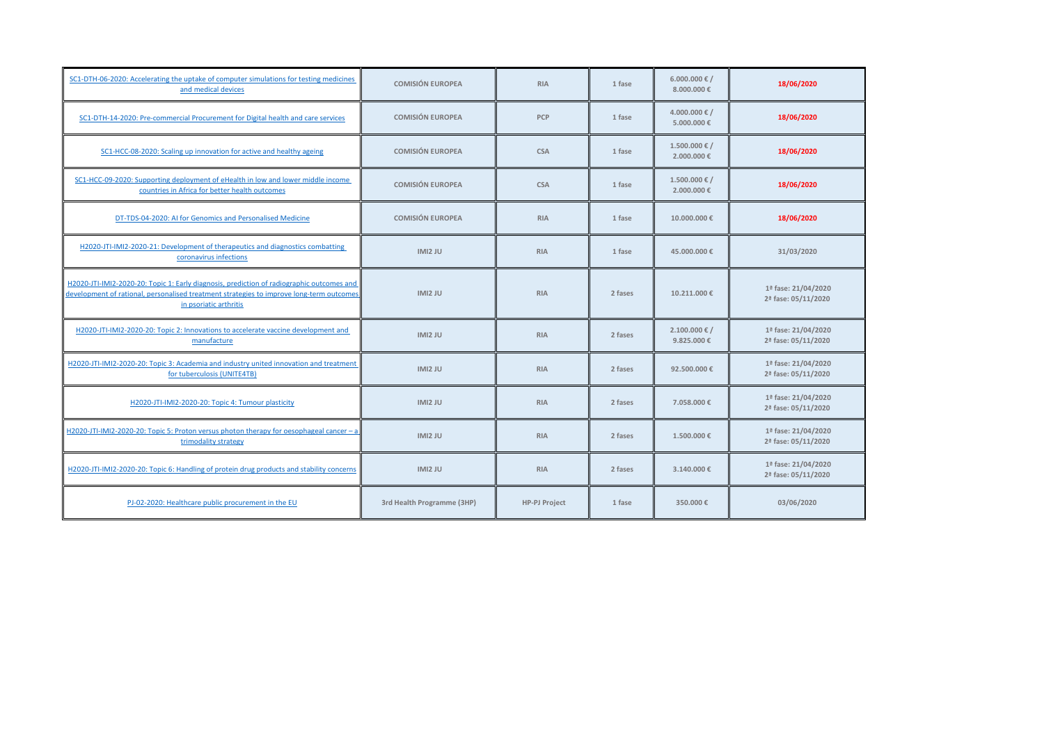| SC1-DTH-06-2020: Accelerating the uptake of computer simulations for testing medicines<br>and medical devices                                                                                                   | <b>COMISIÓN EUROPEA</b>    | <b>RIA</b>           | 1 fase  | 6.000.000 € /<br>8.000.000€      | 18/06/2020                                 |
|-----------------------------------------------------------------------------------------------------------------------------------------------------------------------------------------------------------------|----------------------------|----------------------|---------|----------------------------------|--------------------------------------------|
| SC1-DTH-14-2020: Pre-commercial Procurement for Digital health and care services                                                                                                                                | <b>COMISIÓN EUROPEA</b>    | PCP                  | 1 fase  | 4.000.000 € /<br>5.000.000€      | 18/06/2020                                 |
| SC1-HCC-08-2020: Scaling up innovation for active and healthy ageing                                                                                                                                            | <b>COMISIÓN EUROPEA</b>    | <b>CSA</b>           | 1 fase  | $1.500.000 \in /$<br>2.000.000€  | 18/06/2020                                 |
| SC1-HCC-09-2020: Supporting deployment of eHealth in low and lower middle income<br>countries in Africa for better health outcomes                                                                              | <b>COMISIÓN EUROPEA</b>    | <b>CSA</b>           | 1 fase  | $1.500.000 \in /$<br>2.000.000 € | 18/06/2020                                 |
| DT-TDS-04-2020: AI for Genomics and Personalised Medicine                                                                                                                                                       | <b>COMISIÓN EUROPEA</b>    | <b>RIA</b>           | 1 fase  | 10.000.000€                      | 18/06/2020                                 |
| H2020-JTI-IMI2-2020-21: Development of therapeutics and diagnostics combatting<br>coronavirus infections                                                                                                        | IMI2 JU                    | <b>RIA</b>           | 1 fase  | 45,000,000€                      | 31/03/2020                                 |
| H2020-JTI-IMI2-2020-20: Topic 1: Early diagnosis, prediction of radiographic outcomes and<br>development of rational, personalised treatment strategies to improve long-term outcomes<br>in psoriatic arthritis | IMI2 JU                    | <b>RIA</b>           | 2 fases | 10.211.000 €                     | 1ª fase: 21/04/2020<br>2ª fase: 05/11/2020 |
| H2020-JTI-IMI2-2020-20: Topic 2: Innovations to accelerate vaccine development and<br>manufacture                                                                                                               | IMI2 JU                    | <b>RIA</b>           | 2 fases | $2.100.000 \in /$<br>9.825.000€  | 1ª fase: 21/04/2020<br>2ª fase: 05/11/2020 |
| H2020-JTI-IMI2-2020-20: Topic 3: Academia and industry united innovation and treatment<br>for tuberculosis (UNITE4TB)                                                                                           | IMI2 JU                    | <b>RIA</b>           | 2 fases | 92,500,000€                      | 1ª fase: 21/04/2020<br>2ª fase: 05/11/2020 |
| H2020-JTI-IMI2-2020-20: Topic 4: Tumour plasticity                                                                                                                                                              | IMI2 JU                    | <b>RIA</b>           | 2 fases | 7.058.000€                       | 1ª fase: 21/04/2020<br>2ª fase: 05/11/2020 |
| H2020-JTI-IMI2-2020-20: Topic 5: Proton versus photon therapy for oesophageal cancer - a<br>trimodality strategy                                                                                                | IMI2 JU                    | <b>RIA</b>           | 2 fases | $1,500,000 \in$                  | 1ª fase: 21/04/2020<br>2ª fase: 05/11/2020 |
| H2020-JTI-IMI2-2020-20: Topic 6: Handling of protein drug products and stability concerns                                                                                                                       | IMI2 JU                    | <b>RIA</b>           | 2 fases | 3.140.000€                       | 1ª fase: 21/04/2020<br>2ª fase: 05/11/2020 |
| PJ-02-2020: Healthcare public procurement in the EU                                                                                                                                                             | 3rd Health Programme (3HP) | <b>HP-PJ Project</b> | 1 fase  | 350,000€                         | 03/06/2020                                 |